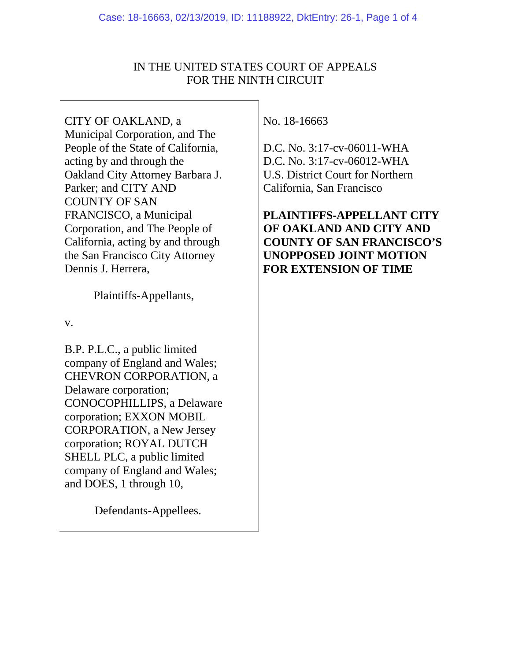# IN THE UNITED STATES COURT OF APPEALS FOR THE NINTH CIRCUIT

CITY OF OAKLAND, a Municipal Corporation, and The People of the State of California, acting by and through the Oakland City Attorney Barbara J. Parker; and CITY AND COUNTY OF SAN FRANCISCO, a Municipal Corporation, and The People of California, acting by and through the San Francisco City Attorney Dennis J. Herrera,

Plaintiffs-Appellants,

v.

B.P. P.L.C., a public limited company of England and Wales; CHEVRON CORPORATION, a Delaware corporation; CONOCOPHILLIPS, a Delaware corporation; EXXON MOBIL CORPORATION, a New Jersey corporation; ROYAL DUTCH SHELL PLC, a public limited company of England and Wales; and DOES, 1 through 10,

Defendants-Appellees.

No. 18-16663

D.C. No. 3:17-cv-06011-WHA D.C. No. 3:17-cv-06012-WHA U.S. District Court for Northern California, San Francisco

**PLAINTIFFS-APPELLANT CITY OF OAKLAND AND CITY AND COUNTY OF SAN FRANCISCO'S UNOPPOSED JOINT MOTION FOR EXTENSION OF TIME**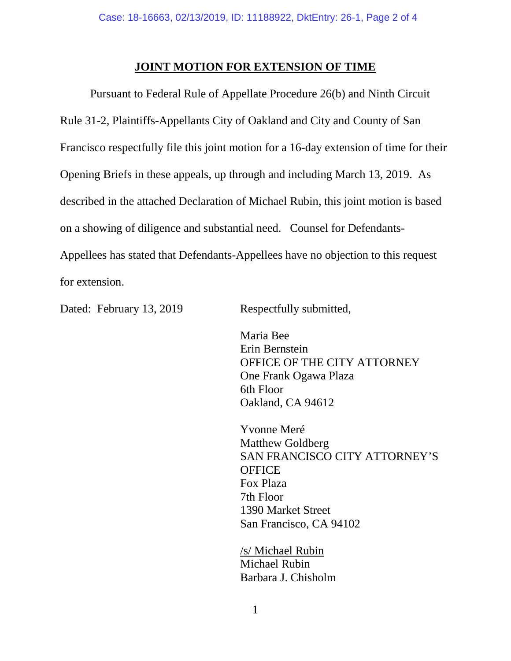### **JOINT MOTION FOR EXTENSION OF TIME**

Pursuant to Federal Rule of Appellate Procedure 26(b) and Ninth Circuit Rule 31-2, Plaintiffs-Appellants City of Oakland and City and County of San Francisco respectfully file this joint motion for a 16-day extension of time for their Opening Briefs in these appeals, up through and including March 13, 2019. As described in the attached Declaration of Michael Rubin, this joint motion is based on a showing of diligence and substantial need. Counsel for Defendants-Appellees has stated that Defendants-Appellees have no objection to this request for extension.

Dated: February 13, 2019 Respectfully submitted,

Maria Bee Erin Bernstein OFFICE OF THE CITY ATTORNEY One Frank Ogawa Plaza 6th Floor Oakland, CA 94612

Yvonne Meré Matthew Goldberg SAN FRANCISCO CITY ATTORNEY'S **OFFICE** Fox Plaza 7th Floor 1390 Market Street San Francisco, CA 94102

/s/ Michael Rubin Michael Rubin Barbara J. Chisholm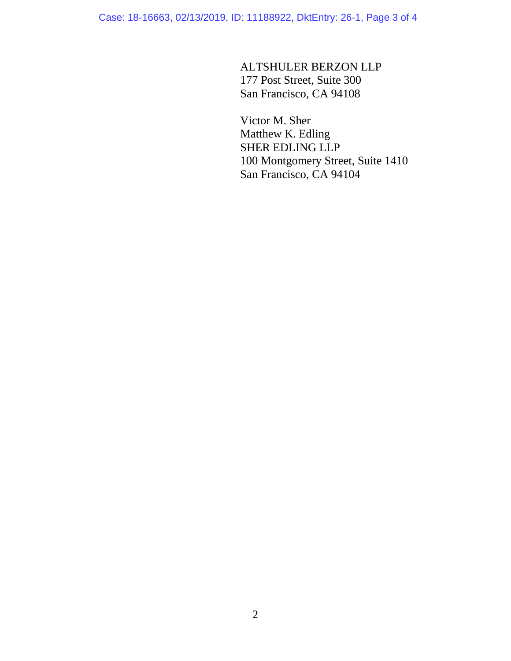Case: 18-16663, 02/13/2019, ID: 11188922, DktEntry: 26-1, Page 3 of 4

ALTSHULER BERZON LLP 177 Post Street, Suite 300 San Francisco, CA 94108

Victor M. Sher Matthew K. Edling SHER EDLING LLP 100 Montgomery Street, Suite 1410 San Francisco, CA 94104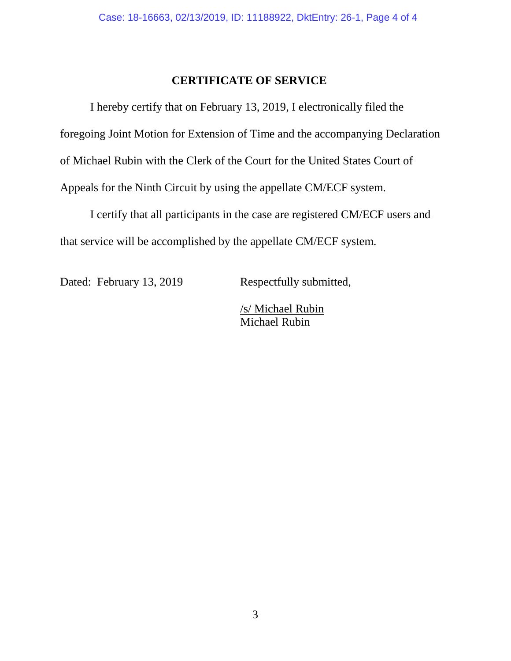### **CERTIFICATE OF SERVICE**

I hereby certify that on February 13, 2019, I electronically filed the foregoing Joint Motion for Extension of Time and the accompanying Declaration of Michael Rubin with the Clerk of the Court for the United States Court of Appeals for the Ninth Circuit by using the appellate CM/ECF system.

I certify that all participants in the case are registered CM/ECF users and that service will be accomplished by the appellate CM/ECF system.

Dated: February 13, 2019 Respectfully submitted,

/s/ Michael Rubin Michael Rubin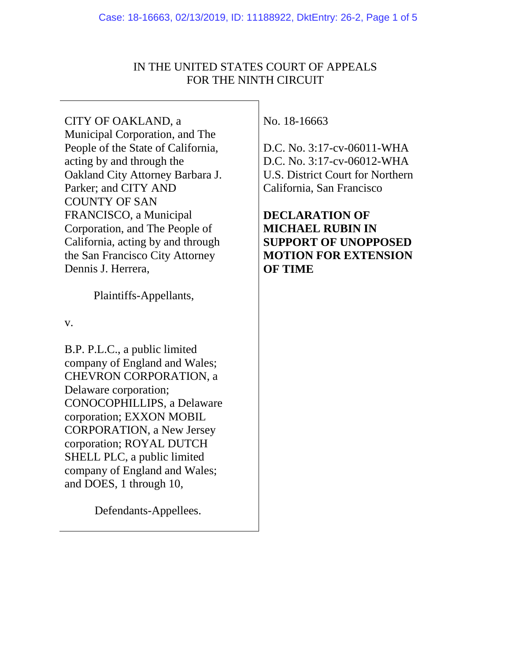# IN THE UNITED STATES COURT OF APPEALS FOR THE NINTH CIRCUIT

CITY OF OAKLAND, a Municipal Corporation, and The People of the State of California, acting by and through the Oakland City Attorney Barbara J. Parker; and CITY AND COUNTY OF SAN FRANCISCO, a Municipal Corporation, and The People of California, acting by and through the San Francisco City Attorney Dennis J. Herrera,

Plaintiffs-Appellants,

v.

B.P. P.L.C., a public limited company of England and Wales; CHEVRON CORPORATION, a Delaware corporation; CONOCOPHILLIPS, a Delaware corporation; EXXON MOBIL CORPORATION, a New Jersey corporation; ROYAL DUTCH SHELL PLC, a public limited company of England and Wales; and DOES, 1 through 10,

Defendants-Appellees.

No. 18-16663

D.C. No. 3:17-cv-06011-WHA D.C. No. 3:17-cv-06012-WHA U.S. District Court for Northern California, San Francisco

**DECLARATION OF MICHAEL RUBIN IN SUPPORT OF UNOPPOSED MOTION FOR EXTENSION OF TIME**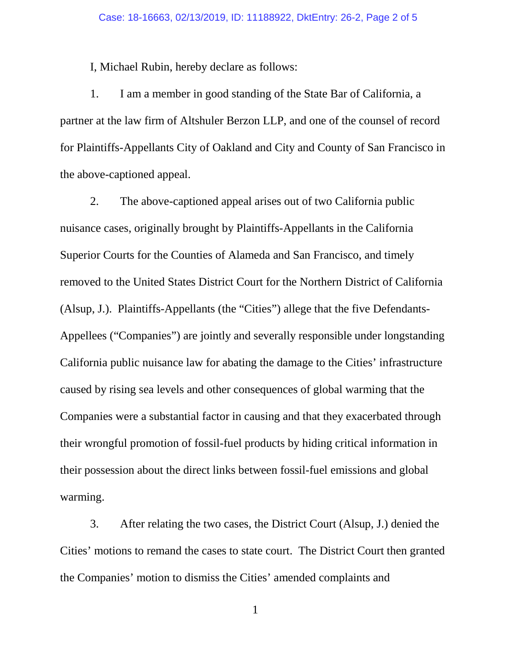I, Michael Rubin, hereby declare as follows:

1. I am a member in good standing of the State Bar of California, a partner at the law firm of Altshuler Berzon LLP, and one of the counsel of record for Plaintiffs-Appellants City of Oakland and City and County of San Francisco in the above-captioned appeal.

2. The above-captioned appeal arises out of two California public nuisance cases, originally brought by Plaintiffs-Appellants in the California Superior Courts for the Counties of Alameda and San Francisco, and timely removed to the United States District Court for the Northern District of California (Alsup, J.). Plaintiffs-Appellants (the "Cities") allege that the five Defendants-Appellees ("Companies") are jointly and severally responsible under longstanding California public nuisance law for abating the damage to the Cities' infrastructure caused by rising sea levels and other consequences of global warming that the Companies were a substantial factor in causing and that they exacerbated through their wrongful promotion of fossil-fuel products by hiding critical information in their possession about the direct links between fossil-fuel emissions and global warming.

3. After relating the two cases, the District Court (Alsup, J.) denied the Cities' motions to remand the cases to state court. The District Court then granted the Companies' motion to dismiss the Cities' amended complaints and

1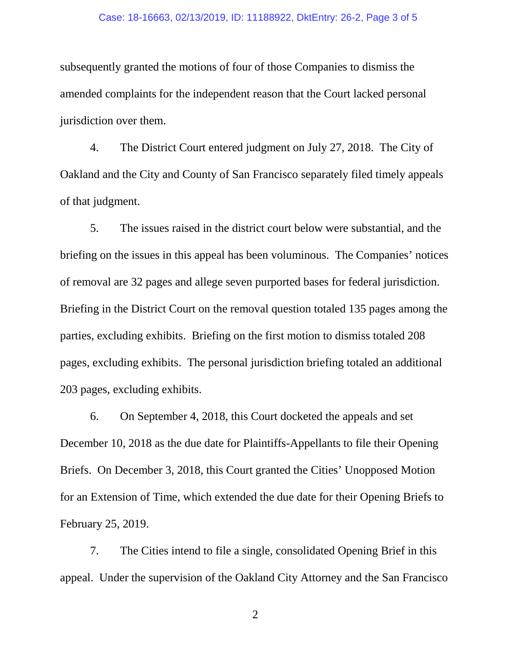#### Case: 18-16663, 02/13/2019, ID: 11188922, DktEntry: 26-2, Page 3 of 5

subsequently granted the motions of four of those Companies to dismiss the amended complaints for the independent reason that the Court lacked personal jurisdiction over them.

4. The District Court entered judgment on July 27, 2018. The City of Oakland and the City and County of San Francisco separately filed timely appeals of that judgment.

5. The issues raised in the district court below were substantial, and the briefing on the issues in this appeal has been voluminous. The Companies' notices of removal are 32 pages and allege seven purported bases for federal jurisdiction. Briefing in the District Court on the removal question totaled 135 pages among the parties, excluding exhibits. Briefing on the first motion to dismiss totaled 208 pages, excluding exhibits. The personal jurisdiction briefing totaled an additional 203 pages, excluding exhibits.

6. On September 4, 2018, this Court docketed the appeals and set December 10, 2018 as the due date for Plaintiffs-Appellants to file their Opening Briefs. On December 3, 2018, this Court granted the Cities' Unopposed Motion for an Extension of Time, which extended the due date for their Opening Briefs to February 25, 2019.

7. The Cities intend to file a single, consolidated Opening Brief in this appeal. Under the supervision of the Oakland City Attorney and the San Francisco

2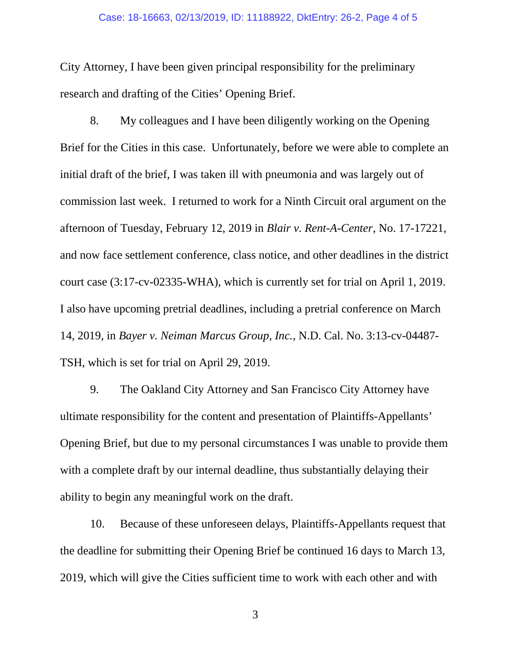#### Case: 18-16663, 02/13/2019, ID: 11188922, DktEntry: 26-2, Page 4 of 5

City Attorney, I have been given principal responsibility for the preliminary research and drafting of the Cities' Opening Brief.

8. My colleagues and I have been diligently working on the Opening Brief for the Cities in this case. Unfortunately, before we were able to complete an initial draft of the brief, I was taken ill with pneumonia and was largely out of commission last week. I returned to work for a Ninth Circuit oral argument on the afternoon of Tuesday, February 12, 2019 in *Blair v. Rent-A-Center*, No. 17-17221, and now face settlement conference, class notice, and other deadlines in the district court case (3:17-cv-02335-WHA), which is currently set for trial on April 1, 2019. I also have upcoming pretrial deadlines, including a pretrial conference on March 14, 2019, in *Bayer v. Neiman Marcus Group, Inc.*, N.D. Cal. No. 3:13-cv-04487- TSH, which is set for trial on April 29, 2019.

9. The Oakland City Attorney and San Francisco City Attorney have ultimate responsibility for the content and presentation of Plaintiffs-Appellants' Opening Brief, but due to my personal circumstances I was unable to provide them with a complete draft by our internal deadline, thus substantially delaying their ability to begin any meaningful work on the draft.

10. Because of these unforeseen delays, Plaintiffs-Appellants request that the deadline for submitting their Opening Brief be continued 16 days to March 13, 2019, which will give the Cities sufficient time to work with each other and with

3